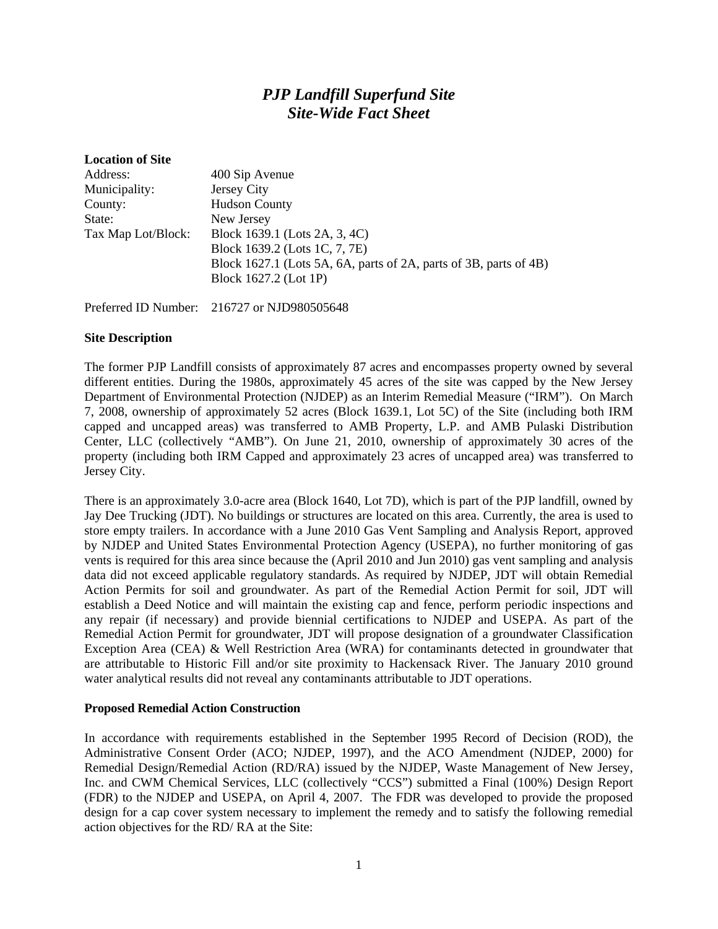# *PJP Landfill Superfund Site Site-Wide Fact Sheet*

| <b>Location of Site</b> |                                                                   |
|-------------------------|-------------------------------------------------------------------|
| Address:                | 400 Sip Avenue                                                    |
| Municipality:           | Jersey City                                                       |
| County:                 | <b>Hudson County</b>                                              |
| State:                  | New Jersey                                                        |
| Tax Map Lot/Block:      | Block 1639.1 (Lots 2A, 3, 4C)                                     |
|                         | Block 1639.2 (Lots 1C, 7, 7E)                                     |
|                         | Block 1627.1 (Lots 5A, 6A, parts of 2A, parts of 3B, parts of 4B) |
|                         | Block 1627.2 (Lot 1P)                                             |
|                         |                                                                   |

Preferred ID Number: 216727 or NJD980505648

#### **Site Description**

The former PJP Landfill consists of approximately 87 acres and encompasses property owned by several different entities. During the 1980s, approximately 45 acres of the site was capped by the New Jersey Department of Environmental Protection (NJDEP) as an Interim Remedial Measure ("IRM"). On March 7, 2008, ownership of approximately 52 acres (Block 1639.1, Lot 5C) of the Site (including both IRM capped and uncapped areas) was transferred to AMB Property, L.P. and AMB Pulaski Distribution Center, LLC (collectively "AMB"). On June 21, 2010, ownership of approximately 30 acres of the property (including both IRM Capped and approximately 23 acres of uncapped area) was transferred to Jersey City.

There is an approximately 3.0-acre area (Block 1640, Lot 7D), which is part of the PJP landfill, owned by Jay Dee Trucking (JDT). No buildings or structures are located on this area. Currently, the area is used to store empty trailers. In accordance with a June 2010 Gas Vent Sampling and Analysis Report, approved by NJDEP and United States Environmental Protection Agency (USEPA), no further monitoring of gas vents is required for this area since because the (April 2010 and Jun 2010) gas vent sampling and analysis data did not exceed applicable regulatory standards. As required by NJDEP, JDT will obtain Remedial Action Permits for soil and groundwater. As part of the Remedial Action Permit for soil, JDT will establish a Deed Notice and will maintain the existing cap and fence, perform periodic inspections and any repair (if necessary) and provide biennial certifications to NJDEP and USEPA. As part of the Remedial Action Permit for groundwater, JDT will propose designation of a groundwater Classification Exception Area (CEA) & Well Restriction Area (WRA) for contaminants detected in groundwater that are attributable to Historic Fill and/or site proximity to Hackensack River. The January 2010 ground water analytical results did not reveal any contaminants attributable to JDT operations.

#### **Proposed Remedial Action Construction**

In accordance with requirements established in the September 1995 Record of Decision (ROD), the Administrative Consent Order (ACO; NJDEP, 1997), and the ACO Amendment (NJDEP, 2000) for Remedial Design/Remedial Action (RD/RA) issued by the NJDEP, Waste Management of New Jersey, Inc. and CWM Chemical Services, LLC (collectively "CCS") submitted a Final (100%) Design Report (FDR) to the NJDEP and USEPA, on April 4, 2007. The FDR was developed to provide the proposed design for a cap cover system necessary to implement the remedy and to satisfy the following remedial action objectives for the RD/ RA at the Site: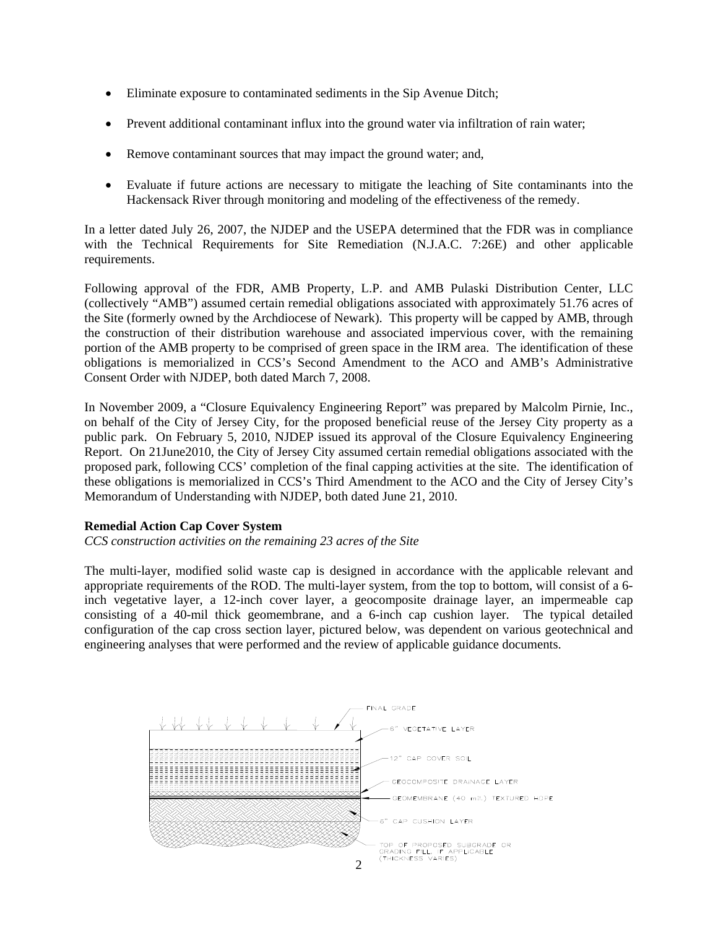- Eliminate exposure to contaminated sediments in the Sip Avenue Ditch;
- Prevent additional contaminant influx into the ground water via infiltration of rain water;
- Remove contaminant sources that may impact the ground water; and,
- Evaluate if future actions are necessary to mitigate the leaching of Site contaminants into the Hackensack River through monitoring and modeling of the effectiveness of the remedy.

In a letter dated July 26, 2007, the NJDEP and the USEPA determined that the FDR was in compliance with the Technical Requirements for Site Remediation (N.J.A.C. 7:26E) and other applicable requirements.

Following approval of the FDR, AMB Property, L.P. and AMB Pulaski Distribution Center, LLC (collectively "AMB") assumed certain remedial obligations associated with approximately 51.76 acres of the Site (formerly owned by the Archdiocese of Newark). This property will be capped by AMB, through the construction of their distribution warehouse and associated impervious cover, with the remaining portion of the AMB property to be comprised of green space in the IRM area. The identification of these obligations is memorialized in CCS's Second Amendment to the ACO and AMB's Administrative Consent Order with NJDEP, both dated March 7, 2008.

In November 2009, a "Closure Equivalency Engineering Report" was prepared by Malcolm Pirnie, Inc., on behalf of the City of Jersey City, for the proposed beneficial reuse of the Jersey City property as a public park. On February 5, 2010, NJDEP issued its approval of the Closure Equivalency Engineering Report. On 21June2010, the City of Jersey City assumed certain remedial obligations associated with the proposed park, following CCS' completion of the final capping activities at the site. The identification of these obligations is memorialized in CCS's Third Amendment to the ACO and the City of Jersey City's Memorandum of Understanding with NJDEP, both dated June 21, 2010.

# **Remedial Action Cap Cover System**

*CCS construction activities on the remaining 23 acres of the Site* 

The multi-layer, modified solid waste cap is designed in accordance with the applicable relevant and appropriate requirements of the ROD. The multi-layer system, from the top to bottom, will consist of a 6 inch vegetative layer, a 12-inch cover layer, a geocomposite drainage layer, an impermeable cap consisting of a 40-mil thick geomembrane, and a 6-inch cap cushion layer. The typical detailed configuration of the cap cross section layer, pictured below, was dependent on various geotechnical and engineering analyses that were performed and the review of applicable guidance documents.

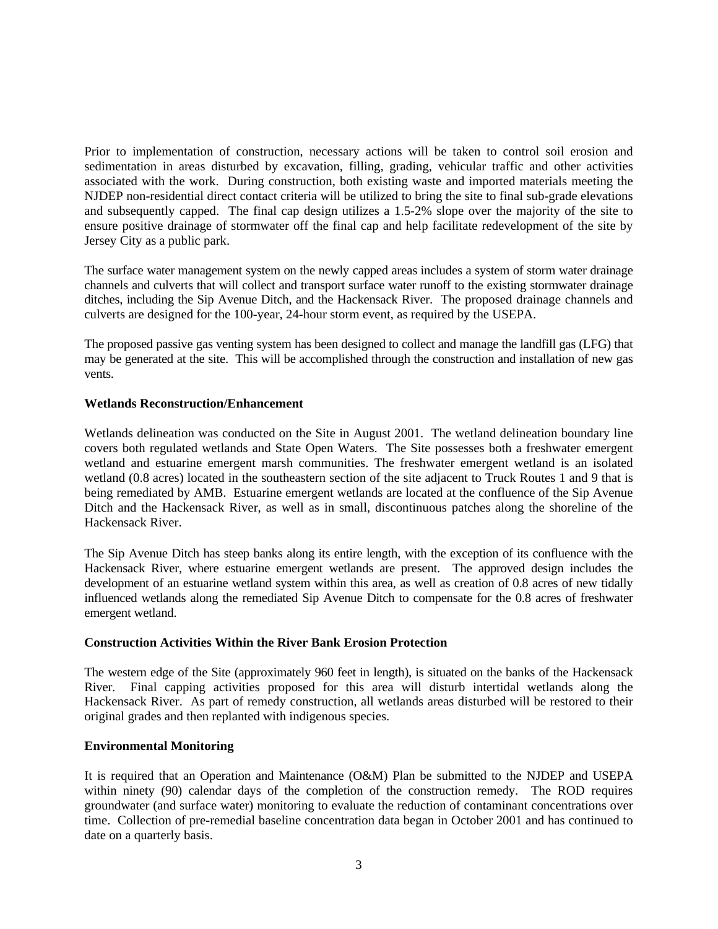Prior to implementation of construction, necessary actions will be taken to control soil erosion and sedimentation in areas disturbed by excavation, filling, grading, vehicular traffic and other activities associated with the work. During construction, both existing waste and imported materials meeting the NJDEP non-residential direct contact criteria will be utilized to bring the site to final sub-grade elevations and subsequently capped. The final cap design utilizes a 1.5-2% slope over the majority of the site to ensure positive drainage of stormwater off the final cap and help facilitate redevelopment of the site by Jersey City as a public park.

The surface water management system on the newly capped areas includes a system of storm water drainage channels and culverts that will collect and transport surface water runoff to the existing stormwater drainage ditches, including the Sip Avenue Ditch, and the Hackensack River. The proposed drainage channels and culverts are designed for the 100-year, 24-hour storm event, as required by the USEPA.

The proposed passive gas venting system has been designed to collect and manage the landfill gas (LFG) that may be generated at the site. This will be accomplished through the construction and installation of new gas vents.

# **Wetlands Reconstruction/Enhancement**

Wetlands delineation was conducted on the Site in August 2001. The wetland delineation boundary line covers both regulated wetlands and State Open Waters. The Site possesses both a freshwater emergent wetland and estuarine emergent marsh communities. The freshwater emergent wetland is an isolated wetland (0.8 acres) located in the southeastern section of the site adjacent to Truck Routes 1 and 9 that is being remediated by AMB. Estuarine emergent wetlands are located at the confluence of the Sip Avenue Ditch and the Hackensack River, as well as in small, discontinuous patches along the shoreline of the Hackensack River.

The Sip Avenue Ditch has steep banks along its entire length, with the exception of its confluence with the Hackensack River, where estuarine emergent wetlands are present. The approved design includes the development of an estuarine wetland system within this area, as well as creation of 0.8 acres of new tidally influenced wetlands along the remediated Sip Avenue Ditch to compensate for the 0.8 acres of freshwater emergent wetland.

# **Construction Activities Within the River Bank Erosion Protection**

The western edge of the Site (approximately 960 feet in length), is situated on the banks of the Hackensack River. Final capping activities proposed for this area will disturb intertidal wetlands along the Hackensack River. As part of remedy construction, all wetlands areas disturbed will be restored to their original grades and then replanted with indigenous species.

# **Environmental Monitoring**

It is required that an Operation and Maintenance (O&M) Plan be submitted to the NJDEP and USEPA within ninety (90) calendar days of the completion of the construction remedy. The ROD requires groundwater (and surface water) monitoring to evaluate the reduction of contaminant concentrations over time. Collection of pre-remedial baseline concentration data began in October 2001 and has continued to date on a quarterly basis.